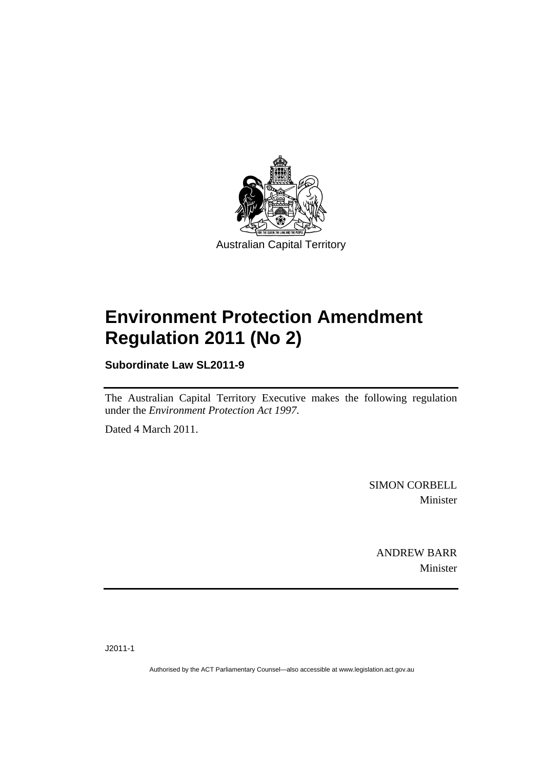

Australian Capital Territory

# **[Environment Protection Amendment](#page-2-0)  [Regulation 2011 \(No 2\)](#page-2-0)**

**Subordinate Law SL2011-9** 

The Australian Capital Territory Executive makes the following regulation under the *[Environment Protection Act 1997](#page-2-0)*.

Dated 4 March 2011.

SIMON CORBELL Minister

ANDREW BARR Minister

J2011-1

Authorised by the ACT Parliamentary Counsel—also accessible at www.legislation.act.gov.au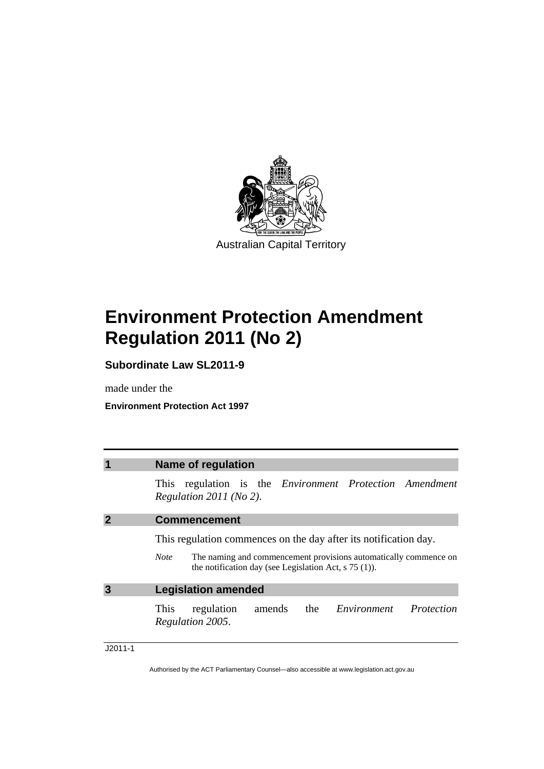<span id="page-2-0"></span>

Australian Capital Territory

# **Environment Protection Amendment Regulation 2011 (No 2)**

**Subordinate Law SL2011-9** 

made under the

**Environment Protection Act 1997** 

| 1 | <b>Name of regulation</b>                                                                                                                                                                                      |
|---|----------------------------------------------------------------------------------------------------------------------------------------------------------------------------------------------------------------|
|   | This regulation is the <i>Environment Protection Amendment</i><br>Regulation $2011$ (No 2).                                                                                                                    |
|   | <b>Commencement</b>                                                                                                                                                                                            |
|   | This regulation commences on the day after its notification day.<br>The naming and commencement provisions automatically commence on<br><b>Note</b><br>the notification day (see Legislation Act, $s$ 75 (1)). |
|   | <b>Legislation amended</b>                                                                                                                                                                                     |
|   | amends the <i>Environment</i> Protection<br>regulation<br>This<br>Regulation 2005.                                                                                                                             |

### J2011-1

Authorised by the ACT Parliamentary Counsel—also accessible at www.legislation.act.gov.au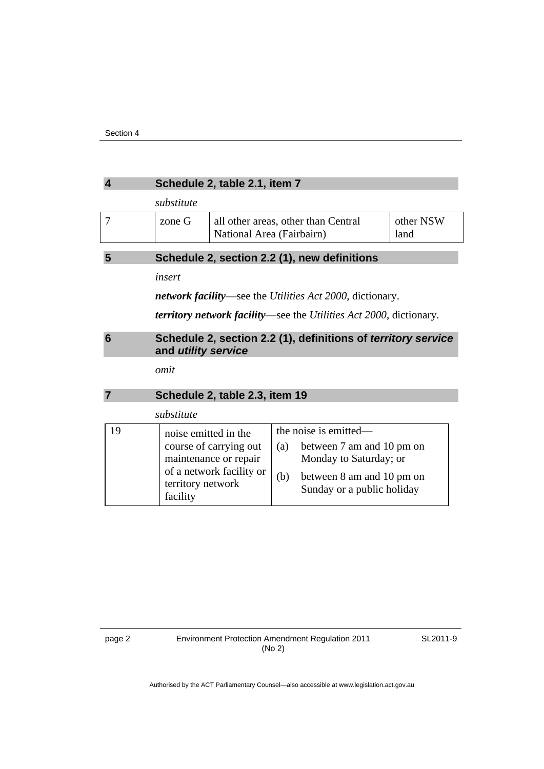#### **4 Schedule 2, table 2.1, item 7**

*substitute* 

| zone G | all other areas, other than Central<br>National Area (Fairbairn) | other NSW<br>land |
|--------|------------------------------------------------------------------|-------------------|
|        |                                                                  |                   |

## **5 Schedule 2, section 2.2 (1), new definitions**

*insert* 

*network facility*—see the *Utilities Act 2000*, dictionary.

*territory network facility*—see the *Utilities Act 2000*, dictionary.

### **6 Schedule 2, section 2.2 (1), definitions of** *territory service* **and** *utility service*

*omit* 

|  | Schedule 2, table 2.3, item 19 |
|--|--------------------------------|
|--|--------------------------------|

|    | substitute                                                                                                                           |            |                                                                                                                                         |
|----|--------------------------------------------------------------------------------------------------------------------------------------|------------|-----------------------------------------------------------------------------------------------------------------------------------------|
| 19 | noise emitted in the<br>course of carrying out<br>maintenance or repair<br>of a network facility or<br>territory network<br>facility | (a)<br>(b) | the noise is emitted—<br>between 7 am and 10 pm on<br>Monday to Saturday; or<br>between 8 am and 10 pm on<br>Sunday or a public holiday |

SL2011-9